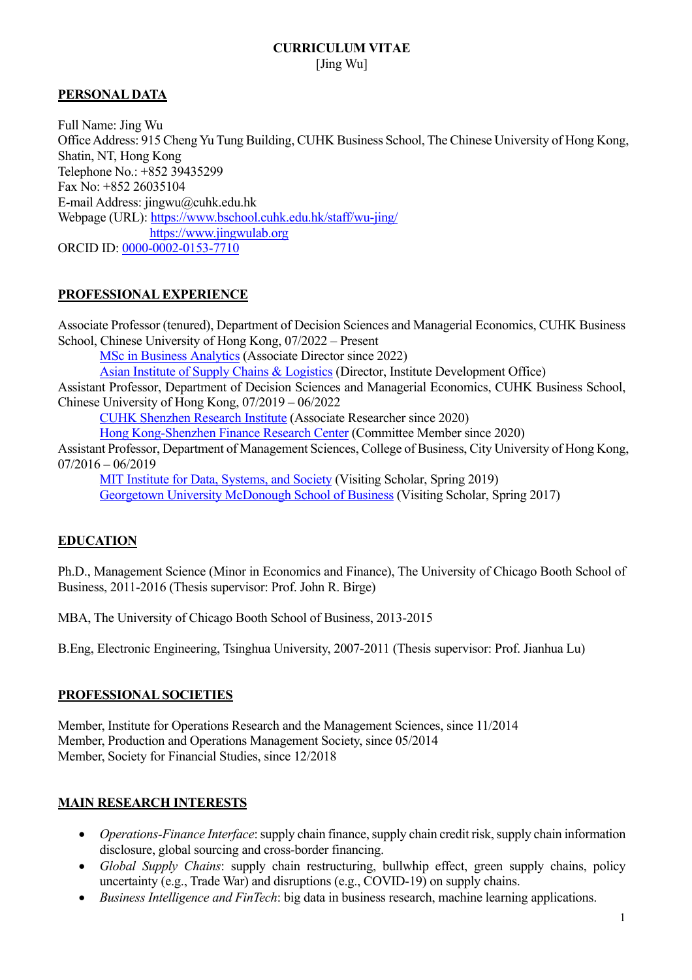### **CURRICULUM VITAE** [Jing Wu]

### **PERSONAL DATA**

Full Name: Jing Wu Office Address: 915 Cheng Yu Tung Building, CUHK Business School, The Chinese University of Hong Kong, Shatin, NT, Hong Kong Telephone No.: +852 39435299 Fax No: +852 26035104 E-mail Address: jingwu@cuhk.edu.hk Webpage (URL): https://www.bschool.cuhk.edu.hk/staff/wu-jing/ https://www.jingwulab.org ORCID ID: 0000-0002-0153-7710

### **PROFESSIONAL EXPERIENCE**

Associate Professor (tenured), Department of Decision Sciences and Managerial Economics, CUHK Business School, Chinese University of Hong Kong, 07/2022 – Present MSc in Business Analytics (Associate Director since 2022) Asian Institute of Supply Chains & Logistics (Director, Institute Development Office) Assistant Professor, Department of Decision Sciences and Managerial Economics, CUHK Business School, Chinese University of Hong Kong, 07/2019 – 06/2022 CUHK Shenzhen Research Institute (Associate Researcher since 2020) Hong Kong-Shenzhen Finance Research Center (Committee Member since 2020) Assistant Professor, Department of Management Sciences, College of Business, City University of Hong Kong,  $07/2016 - 06/2019$ MIT Institute for Data, Systems, and Society (Visiting Scholar, Spring 2019) Georgetown University McDonough School of Business (Visiting Scholar, Spring 2017)

## **EDUCATION**

Ph.D., Management Science (Minor in Economics and Finance), The University of Chicago Booth School of Business, 2011-2016 (Thesis supervisor: Prof. John R. Birge)

MBA, The University of Chicago Booth School of Business, 2013-2015

B.Eng, Electronic Engineering, Tsinghua University, 2007-2011 (Thesis supervisor: Prof. Jianhua Lu)

#### **PROFESSIONAL SOCIETIES**

Member, Institute for Operations Research and the Management Sciences, since 11/2014 Member, Production and Operations Management Society, since 05/2014 Member, Society for Financial Studies, since 12/2018

#### **MAIN RESEARCH INTERESTS**

- *Operations-Finance Interface*: supply chain finance, supply chain credit risk, supply chain information disclosure, global sourcing and cross-border financing.
- *Global Supply Chains*: supply chain restructuring, bullwhip effect, green supply chains, policy uncertainty (e.g., Trade War) and disruptions (e.g., COVID-19) on supply chains.
- *Business Intelligence and FinTech*: big data in business research, machine learning applications.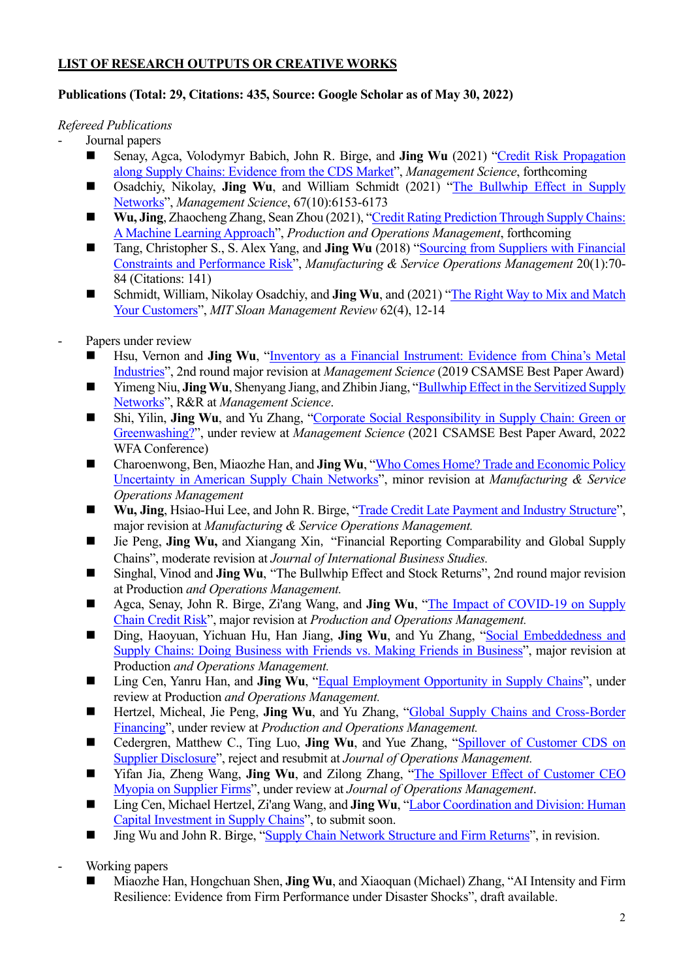## **LIST OF RESEARCH OUTPUTS OR CREATIVE WORKS**

## **Publications (Total: 29, Citations: 435, Source: Google Scholar as of May 30, 2022)**

## *Refereed Publications*

Journal papers

- Senay, Agca, Volodymyr Babich, John R. Birge, and **Jing Wu** (2021) "Credit Risk Propagation along Supply Chains: Evidence from the CDS Market", *Management Science*, forthcoming
- n Osadchiy, Nikolay, **Jing Wu**, and William Schmidt (2021) "The Bullwhip Effect in Supply Networks", *Management Science*, 67(10):6153-6173
- Wu, Jing, Zhaocheng Zhang, Sean Zhou (2021), "Credit Rating Prediction Through Supply Chains: A Machine Learning Approach", *Production and Operations Management*, forthcoming
- Tang, Christopher S., S. Alex Yang, and **Jing Wu** (2018) "Sourcing from Suppliers with Financial Constraints and Performance Risk", *Manufacturing & Service Operations Management* 20(1):70- 84 (Citations: 141)
- Schmidt, William, Nikolay Osadchiy, and **Jing Wu**, and (2021) "The Right Way to Mix and Match Your Customers", *MIT Sloan Management Review* 62(4), 12-14
- Papers under review
	- n Hsu, Vernon and **Jing Wu**, "Inventory as a Financial Instrument: Evidence from China's Metal Industries", 2nd round major revision at *Management Science* (2019 CSAMSE Best Paper Award)
	- Yimeng Niu, **Jing Wu**, Shenyang Jiang, and Zhibin Jiang, "Bullwhip Effect in the Servitized Supply Networks", R&R at *Management Science*.
	- Shi, Yilin, **Jing Wu**, and Yu Zhang, "Corporate Social Responsibility in Supply Chain: Green or Greenwashing?", under review at *Management Science* (2021 CSAMSE Best Paper Award, 2022 WFA Conference)
	- Charoenwong, Ben, Miaozhe Han, and **Jing Wu**, "Who Comes Home? Trade and Economic Policy Uncertainty in American Supply Chain Networks", minor revision at *Manufacturing & Service Operations Management*
	- **Wu, Jing**, Hsiao-Hui Lee, and John R. Birge, "Trade Credit Late Payment and Industry Structure", major revision at *Manufacturing & Service Operations Management.*
	- Jie Peng, **Jing Wu**, and Xiangang Xin, "Financial Reporting Comparability and Global Supply Chains", moderate revision at *Journal of International Business Studies.*
	- Singhal, Vinod and **Jing Wu**, "The Bullwhip Effect and Stock Returns", 2nd round major revision at Production *and Operations Management.*
	- n Agca, Senay, John R. Birge, Zi'ang Wang, and **Jing Wu**, "The Impact of COVID-19 on Supply Chain Credit Risk", major revision at *Production and Operations Management.*
	- Ding, Haoyuan, Yichuan Hu, Han Jiang, **Jing Wu**, and Yu Zhang, "Social Embeddedness and Supply Chains: Doing Business with Friends vs. Making Friends in Business", major revision at Production *and Operations Management.*
	- Ling Cen, Yanru Han, and **Jing Wu**, "Equal Employment Opportunity in Supply Chains", under review at Production *and Operations Management.*
	- n Hertzel, Micheal, Jie Peng, **Jing Wu**, and Yu Zhang, "Global Supply Chains and Cross-Border Financing", under review at *Production and Operations Management.*
	- Cedergren, Matthew C., Ting Luo, **Jing Wu**, and Yue Zhang, "Spillover of Customer CDS on Supplier Disclosure", reject and resubmit at *Journal of Operations Management.*
	- Yifan Jia, Zheng Wang, **Jing Wu**, and Zilong Zhang, "The Spillover Effect of Customer CEO Myopia on Supplier Firms", under review at *Journal of Operations Management*.
	- Ling Cen, Michael Hertzel, Zi'ang Wang, and **Jing Wu**, "Labor Coordination and Division: Human Capital Investment in Supply Chains", to submit soon.
	- Jing Wu and John R. Birge, "Supply Chain Network Structure and Firm Returns", in revision.

Working papers

n Miaozhe Han, Hongchuan Shen, **Jing Wu**, and Xiaoquan (Michael) Zhang, "AI Intensity and Firm Resilience: Evidence from Firm Performance under Disaster Shocks", draft available.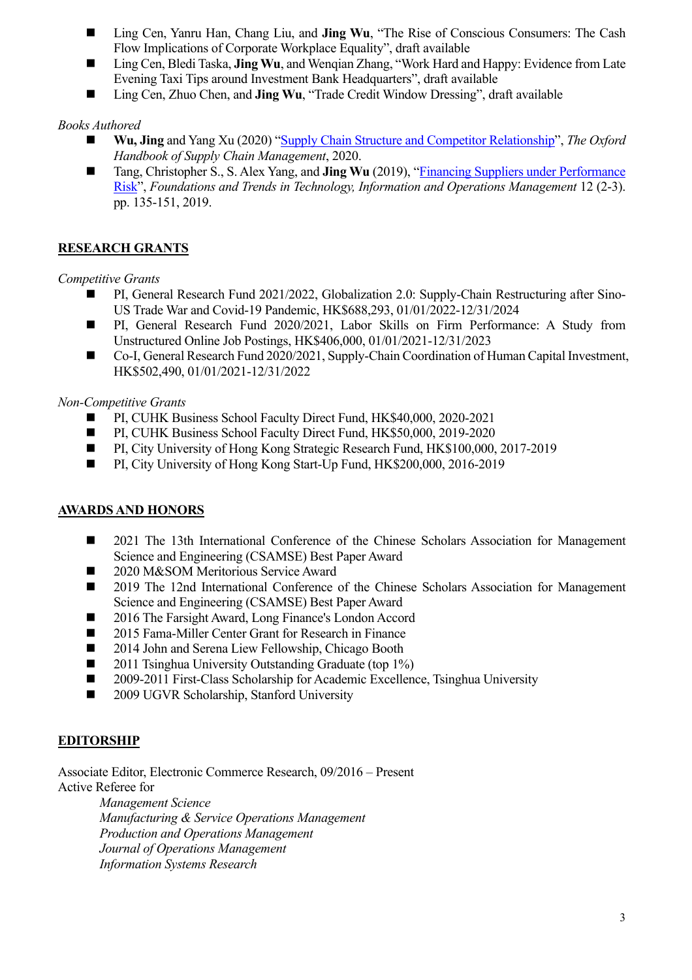- Ling Cen, Yanru Han, Chang Liu, and **Jing Wu**, "The Rise of Conscious Consumers: The Cash Flow Implications of Corporate Workplace Equality", draft available
- Ling Cen, Bledi Taska, **Jing Wu**, and Wenqian Zhang, "Work Hard and Happy: Evidence from Late Evening Taxi Tips around Investment Bank Headquarters", draft available
- Ling Cen, Zhuo Chen, and **Jing Wu**, "Trade Credit Window Dressing", draft available

#### *Books Authored*

- n **Wu, Jing** and Yang Xu (2020) "Supply Chain Structure and Competitor Relationship", *The Oxford Handbook of Supply Chain Management*, 2020.
- Tang, Christopher S., S. Alex Yang, and **Jing Wu** (2019), "Financing Suppliers under Performance Risk", *Foundations and Trends in Technology, Information and Operations Management* 12 (2-3). pp. 135-151, 2019.

## **RESEARCH GRANTS**

#### *Competitive Grants*

- PI, General Research Fund 2021/2022, Globalization 2.0: Supply-Chain Restructuring after Sino-US Trade War and Covid-19 Pandemic, HK\$688,293, 01/01/2022-12/31/2024
- n PI, General Research Fund 2020/2021, Labor Skills on Firm Performance: A Study from Unstructured Online Job Postings, HK\$406,000, 01/01/2021-12/31/2023
- Co-I, General Research Fund 2020/2021, Supply-Chain Coordination of Human Capital Investment, HK\$502,490, 01/01/2021-12/31/2022

## *Non-Competitive Grants*

- PI, CUHK Business School Faculty Direct Fund, HK\$40,000, 2020-2021
- PI, CUHK Business School Faculty Direct Fund, HK\$50,000, 2019-2020
- PI, City University of Hong Kong Strategic Research Fund, HK\$100,000, 2017-2019
- PI, City University of Hong Kong Start-Up Fund, HK\$200,000, 2016-2019

## **AWARDS AND HONORS**

- n 2021 The 13th International Conference of the Chinese Scholars Association for Management Science and Engineering (CSAMSE) Best Paper Award
- 2020 M&SOM Meritorious Service Award
- n 2019 The 12nd International Conference of the Chinese Scholars Association for Management Science and Engineering (CSAMSE) Best Paper Award
- 2016 The Farsight Award, Long Finance's London Accord
- 2015 Fama-Miller Center Grant for Research in Finance
- 2014 John and Serena Liew Fellowship, Chicago Booth
- $\Box$  2011 Tsinghua University Outstanding Graduate (top 1%)
- 2009-2011 First-Class Scholarship for Academic Excellence, Tsinghua University
- 2009 UGVR Scholarship, Stanford University

## **EDITORSHIP**

Associate Editor, Electronic Commerce Research, 09/2016 – Present Active Referee for

> *Management Science Manufacturing & Service Operations Management Production and Operations Management Journal of Operations Management Information Systems Research*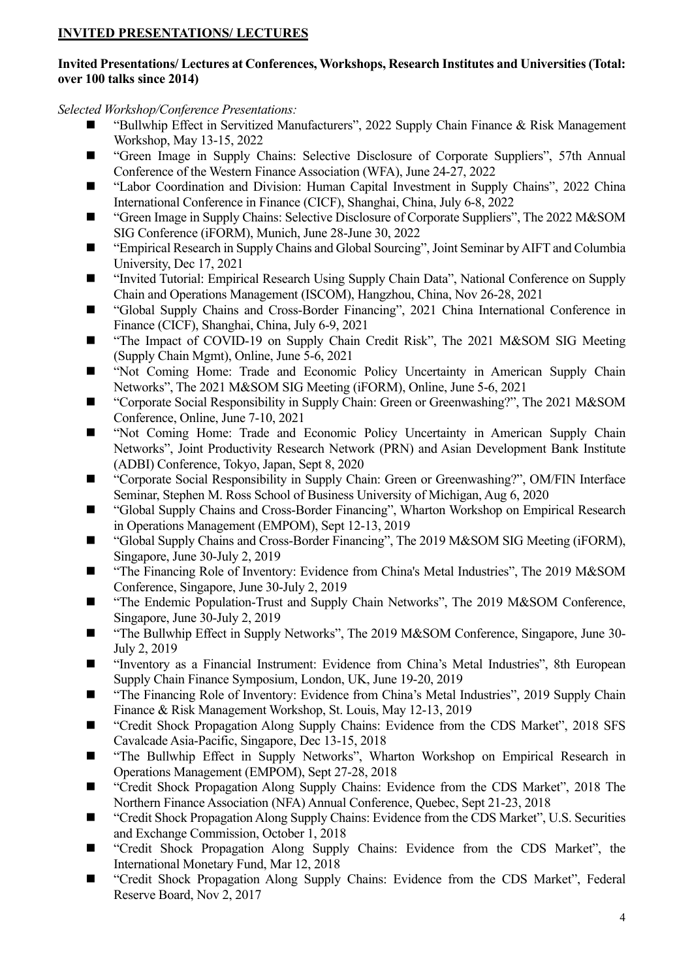## **INVITED PRESENTATIONS/ LECTURES**

### **Invited Presentations/ Lectures at Conferences, Workshops, Research Institutes and Universities (Total: over 100 talks since 2014)**

*Selected Workshop/Conference Presentations:*

- "Bullwhip Effect in Servitized Manufacturers", 2022 Supply Chain Finance & Risk Management Workshop, May 13-15, 2022
- n "Green Image in Supply Chains: Selective Disclosure of Corporate Suppliers", 57th Annual Conference of the Western Finance Association (WFA), June 24-27, 2022
- "Labor Coordination and Division: Human Capital Investment in Supply Chains", 2022 China International Conference in Finance (CICF), Shanghai, China, July 6-8, 2022
- "Green Image in Supply Chains: Selective Disclosure of Corporate Suppliers", The 2022 M&SOM SIG Conference (iFORM), Munich, June 28-June 30, 2022
- n "Empirical Research in Supply Chains and Global Sourcing", Joint Seminar by AIFT and Columbia University, Dec 17, 2021
- "Invited Tutorial: Empirical Research Using Supply Chain Data", National Conference on Supply Chain and Operations Management (ISCOM), Hangzhou, China, Nov 26-28, 2021
- n "Global Supply Chains and Cross-Border Financing", 2021 China International Conference in Finance (CICF), Shanghai, China, July 6-9, 2021
- "The Impact of COVID-19 on Supply Chain Credit Risk", The 2021 M&SOM SIG Meeting (Supply Chain Mgmt), Online, June 5-6, 2021
- n "Not Coming Home: Trade and Economic Policy Uncertainty in American Supply Chain Networks", The 2021 M&SOM SIG Meeting (iFORM), Online, June 5-6, 2021
- n "Corporate Social Responsibility in Supply Chain: Green or Greenwashing?", The 2021 M&SOM Conference, Online, June 7-10, 2021
- n "Not Coming Home: Trade and Economic Policy Uncertainty in American Supply Chain Networks", Joint Productivity Research Network (PRN) and Asian Development Bank Institute (ADBI) Conference, Tokyo, Japan, Sept 8, 2020
- "Corporate Social Responsibility in Supply Chain: Green or Greenwashing?", OM/FIN Interface Seminar, Stephen M. Ross School of Business University of Michigan, Aug 6, 2020
- "Global Supply Chains and Cross-Border Financing", Wharton Workshop on Empirical Research in Operations Management (EMPOM), Sept 12-13, 2019
- "Global Supply Chains and Cross-Border Financing", The 2019 M&SOM SIG Meeting (iFORM), Singapore, June 30-July 2, 2019
- n "The Financing Role of Inventory: Evidence from China's Metal Industries", The 2019 M&SOM Conference, Singapore, June 30-July 2, 2019
- "The Endemic Population-Trust and Supply Chain Networks", The 2019 M&SOM Conference, Singapore, June 30-July 2, 2019
- "The Bullwhip Effect in Supply Networks", The 2019 M&SOM Conference, Singapore, June 30-July 2, 2019
- "Inventory as a Financial Instrument: Evidence from China's Metal Industries", 8th European Supply Chain Finance Symposium, London, UK, June 19-20, 2019
- "The Financing Role of Inventory: Evidence from China's Metal Industries", 2019 Supply Chain Finance & Risk Management Workshop, St. Louis, May 12-13, 2019
- n "Credit Shock Propagation Along Supply Chains: Evidence from the CDS Market", 2018 SFS Cavalcade Asia-Pacific, Singapore, Dec 13-15, 2018
- n "The Bullwhip Effect in Supply Networks", Wharton Workshop on Empirical Research in Operations Management (EMPOM), Sept 27-28, 2018
- n "Credit Shock Propagation Along Supply Chains: Evidence from the CDS Market", 2018 The Northern Finance Association (NFA) Annual Conference, Quebec, Sept 21-23, 2018
- n "Credit Shock Propagation Along Supply Chains: Evidence from the CDS Market", U.S. Securities and Exchange Commission, October 1, 2018
- n "Credit Shock Propagation Along Supply Chains: Evidence from the CDS Market", the International Monetary Fund, Mar 12, 2018
- n "Credit Shock Propagation Along Supply Chains: Evidence from the CDS Market", Federal Reserve Board, Nov 2, 2017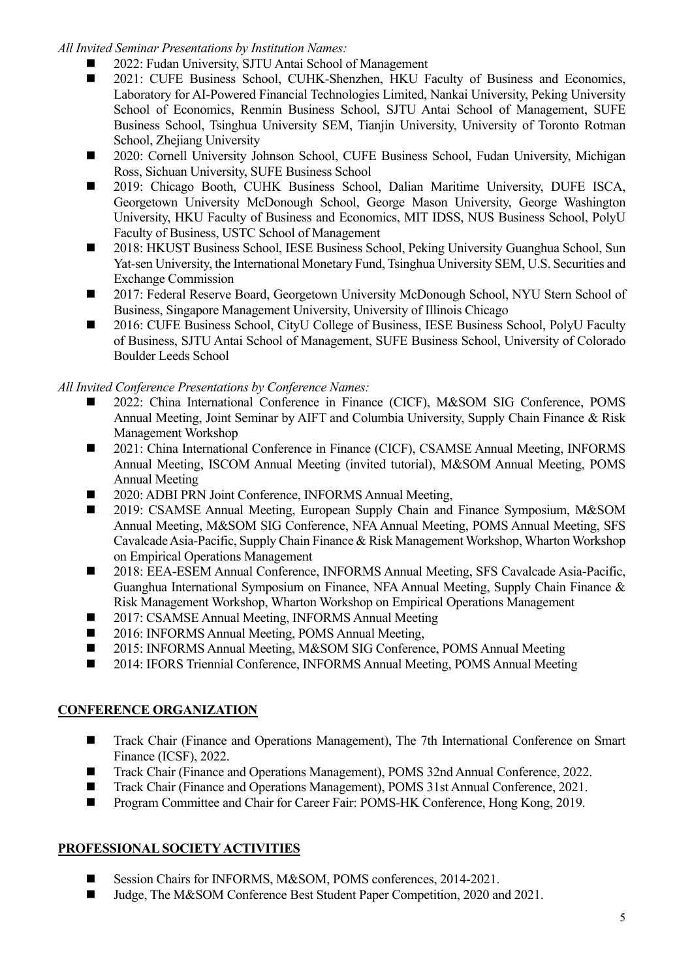*All Invited Seminar Presentations by Institution Names:*

- 2022: Fudan University, SJTU Antai School of Management
- 2021: CUFE Business School, CUHK-Shenzhen, HKU Faculty of Business and Economics, Laboratory for AI-Powered Financial Technologies Limited, Nankai University, Peking University School of Economics, Renmin Business School, SJTU Antai School of Management, SUFE Business School, Tsinghua University SEM, Tianjin University, University of Toronto Rotman School, Zhejiang University
- 2020: Cornell University Johnson School, CUFE Business School, Fudan University, Michigan Ross, Sichuan University, SUFE Business School
- 2019: Chicago Booth, CUHK Business School, Dalian Maritime University, DUFE ISCA, Georgetown University McDonough School, George Mason University, George Washington University, HKU Faculty of Business and Economics, MIT IDSS, NUS Business School, PolyU Faculty of Business, USTC School of Management
- 2018: HKUST Business School, IESE Business School, Peking University Guanghua School, Sun Yat-sen University, the International Monetary Fund, Tsinghua University SEM, U.S. Securities and Exchange Commission
- 2017: Federal Reserve Board, Georgetown University McDonough School, NYU Stern School of Business, Singapore Management University, University of Illinois Chicago
- 2016: CUFE Business School, CityU College of Business, IESE Business School, PolyU Faculty of Business, SJTU Antai School of Management, SUFE Business School, University of Colorado Boulder Leeds School

*All Invited Conference Presentations by Conference Names:*

- 2022: China International Conference in Finance (CICF), M&SOM SIG Conference, POMS Annual Meeting, Joint Seminar by AIFT and Columbia University, Supply Chain Finance & Risk Management Workshop
- 2021: China International Conference in Finance (CICF), CSAMSE Annual Meeting, INFORMS Annual Meeting, ISCOM Annual Meeting (invited tutorial), M&SOM Annual Meeting, POMS Annual Meeting
- 2020: ADBI PRN Joint Conference, INFORMS Annual Meeting,
- 2019: CSAMSE Annual Meeting, European Supply Chain and Finance Symposium, M&SOM Annual Meeting, M&SOM SIG Conference, NFA Annual Meeting, POMS Annual Meeting, SFS Cavalcade Asia-Pacific, Supply Chain Finance & Risk Management Workshop, Wharton Workshop on Empirical Operations Management
- 2018: EEA-ESEM Annual Conference, INFORMS Annual Meeting, SFS Cavalcade Asia-Pacific, Guanghua International Symposium on Finance, NFA Annual Meeting, Supply Chain Finance & Risk Management Workshop, Wharton Workshop on Empirical Operations Management
- $\blacksquare$  2017: CSAMSE Annual Meeting, INFORMS Annual Meeting
- 2016: INFORMS Annual Meeting, POMS Annual Meeting,
- 2015: INFORMS Annual Meeting, M&SOM SIG Conference, POMS Annual Meeting
- 2014: IFORS Triennial Conference, INFORMS Annual Meeting, POMS Annual Meeting

# **CONFERENCE ORGANIZATION**

- Track Chair (Finance and Operations Management), The 7th International Conference on Smart Finance (ICSF), 2022.
- Track Chair (Finance and Operations Management), POMS 32nd Annual Conference, 2022.
- Track Chair (Finance and Operations Management), POMS 31st Annual Conference, 2021.
- Program Committee and Chair for Career Fair: POMS-HK Conference, Hong Kong, 2019.

# **PROFESSIONAL SOCIETY ACTIVITIES**

- Session Chairs for INFORMS, M&SOM, POMS conferences, 2014-2021.
- Judge, The M&SOM Conference Best Student Paper Competition, 2020 and 2021.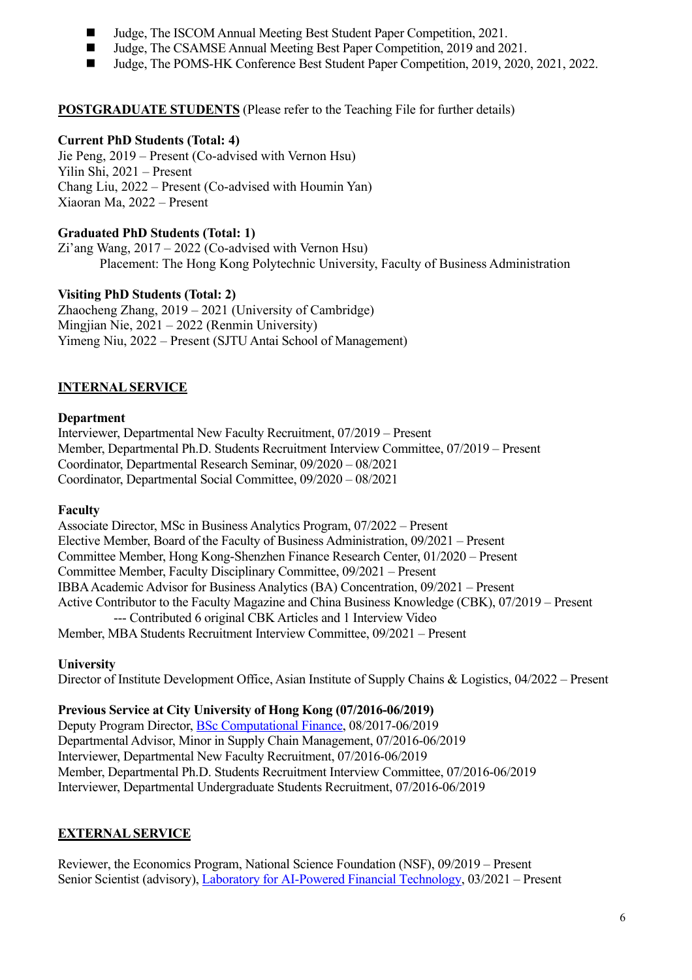- Judge, The ISCOM Annual Meeting Best Student Paper Competition, 2021.
- Judge, The CSAMSE Annual Meeting Best Paper Competition, 2019 and 2021.
- Judge, The POMS-HK Conference Best Student Paper Competition, 2019, 2020, 2021, 2022.

### **POSTGRADUATE STUDENTS** (Please refer to the Teaching File for further details)

#### **Current PhD Students (Total: 4)**

Jie Peng, 2019 – Present (Co-advised with Vernon Hsu) Yilin Shi, 2021 – Present Chang Liu, 2022 – Present (Co-advised with Houmin Yan) Xiaoran Ma, 2022 – Present

#### **Graduated PhD Students (Total: 1)**

 $Zi'$ ang Wang, 2017 – 2022 (Co-advised with Vernon Hsu) Placement: The Hong Kong Polytechnic University, Faculty of Business Administration

#### **Visiting PhD Students (Total: 2)**

Zhaocheng Zhang, 2019 – 2021 (University of Cambridge) Mingjian Nie, 2021 – 2022 (Renmin University) Yimeng Niu, 2022 – Present (SJTU Antai School of Management)

## **INTERNAL SERVICE**

#### **Department**

Interviewer, Departmental New Faculty Recruitment, 07/2019 – Present Member, Departmental Ph.D. Students Recruitment Interview Committee, 07/2019 – Present Coordinator, Departmental Research Seminar, 09/2020 – 08/2021 Coordinator, Departmental Social Committee, 09/2020 – 08/2021

#### **Faculty**

Associate Director, MSc in Business Analytics Program, 07/2022 – Present Elective Member, Board of the Faculty of Business Administration, 09/2021 – Present Committee Member, Hong Kong-Shenzhen Finance Research Center, 01/2020 – Present Committee Member, Faculty Disciplinary Committee, 09/2021 – Present IBBA Academic Advisor for Business Analytics (BA) Concentration, 09/2021 – Present Active Contributor to the Faculty Magazine and China Business Knowledge (CBK), 07/2019 – Present --- Contributed 6 original CBK Articles and 1 Interview Video Member, MBA Students Recruitment Interview Committee, 09/2021 – Present

#### **University**

Director of Institute Development Office, Asian Institute of Supply Chains & Logistics, 04/2022 – Present

#### **Previous Service at City University of Hong Kong (07/2016-06/2019)**

Deputy Program Director, BSc Computational Finance, 08/2017-06/2019 Departmental Advisor, Minor in Supply Chain Management, 07/2016-06/2019 Interviewer, Departmental New Faculty Recruitment, 07/2016-06/2019 Member, Departmental Ph.D. Students Recruitment Interview Committee, 07/2016-06/2019 Interviewer, Departmental Undergraduate Students Recruitment, 07/2016-06/2019

#### **EXTERNAL SERVICE**

Reviewer, the Economics Program, National Science Foundation (NSF), 09/2019 – Present Senior Scientist (advisory), Laboratory for AI-Powered Financial Technology, 03/2021 – Present